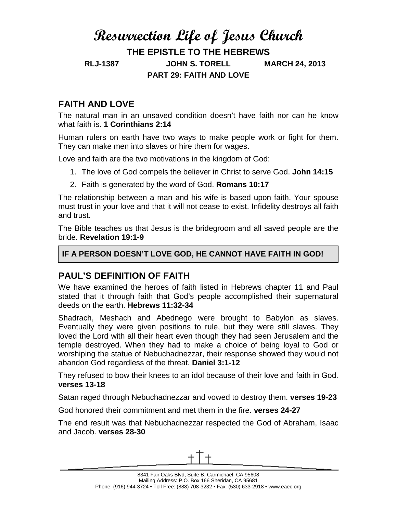# **Resurrection Life of Jesus Church THE EPISTLE TO THE HEBREWS RLJ-1387 JOHN S. TORELL MARCH 24, 2013 PART 29: FAITH AND LOVE**

## **FAITH AND LOVE**

The natural man in an unsaved condition doesn't have faith nor can he know what faith is. **1 Corinthians 2:14**

Human rulers on earth have two ways to make people work or fight for them. They can make men into slaves or hire them for wages.

Love and faith are the two motivations in the kingdom of God:

- 1. The love of God compels the believer in Christ to serve God. **John 14:15**
- 2. Faith is generated by the word of God. **Romans 10:17**

The relationship between a man and his wife is based upon faith. Your spouse must trust in your love and that it will not cease to exist. Infidelity destroys all faith and trust.

The Bible teaches us that Jesus is the bridegroom and all saved people are the bride. **Revelation 19:1-9**

#### **IF A PERSON DOESN'T LOVE GOD, HE CANNOT HAVE FAITH IN GOD!**

### **PAUL'S DEFINITION OF FAITH**

We have examined the heroes of faith listed in Hebrews chapter 11 and Paul stated that it through faith that God's people accomplished their supernatural deeds on the earth. **Hebrews 11:32-34**

Shadrach, Meshach and Abednego were brought to Babylon as slaves. Eventually they were given positions to rule, but they were still slaves. They loved the Lord with all their heart even though they had seen Jerusalem and the temple destroyed. When they had to make a choice of being loyal to God or worshiping the statue of Nebuchadnezzar, their response showed they would not abandon God regardless of the threat. **Daniel 3:1-12**

They refused to bow their knees to an idol because of their love and faith in God. **verses 13-18**

Satan raged through Nebuchadnezzar and vowed to destroy them. **verses 19-23**

God honored their commitment and met them in the fire. **verses 24-27**

The end result was that Nebuchadnezzar respected the God of Abraham, Isaac and Jacob. **verses 28-30**